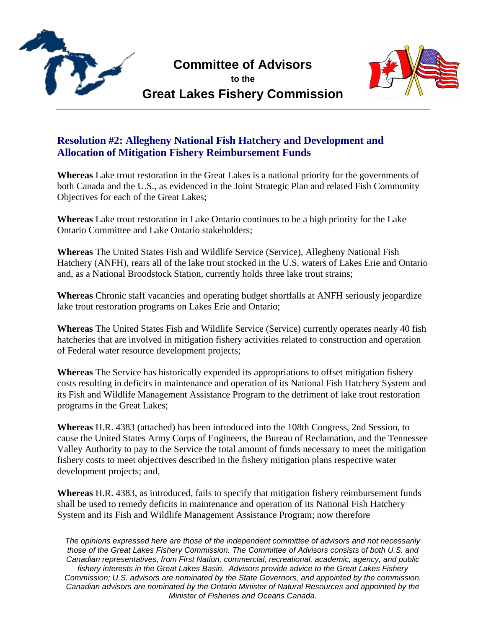

## **Committee of Advisors**

**to the Great Lakes Fishery Commission**



## **Resolution #2: Allegheny National Fish Hatchery and Development and Allocation of Mitigation Fishery Reimbursement Funds**

**Whereas** Lake trout restoration in the Great Lakes is a national priority for the governments of both Canada and the U.S., as evidenced in the Joint Strategic Plan and related Fish Community Objectives for each of the Great Lakes;

**Whereas** Lake trout restoration in Lake Ontario continues to be a high priority for the Lake Ontario Committee and Lake Ontario stakeholders;

**Whereas** The United States Fish and Wildlife Service (Service), Allegheny National Fish Hatchery (ANFH), rears all of the lake trout stocked in the U.S. waters of Lakes Erie and Ontario and, as a National Broodstock Station, currently holds three lake trout strains;

**Whereas** Chronic staff vacancies and operating budget shortfalls at ANFH seriously jeopardize lake trout restoration programs on Lakes Erie and Ontario;

**Whereas** The United States Fish and Wildlife Service (Service) currently operates nearly 40 fish hatcheries that are involved in mitigation fishery activities related to construction and operation of Federal water resource development projects;

**Whereas** The Service has historically expended its appropriations to offset mitigation fishery costs resulting in deficits in maintenance and operation of its National Fish Hatchery System and its Fish and Wildlife Management Assistance Program to the detriment of lake trout restoration programs in the Great Lakes;

**Whereas** H.R. 4383 (attached) has been introduced into the 108th Congress, 2nd Session, to cause the United States Army Corps of Engineers, the Bureau of Reclamation, and the Tennessee Valley Authority to pay to the Service the total amount of funds necessary to meet the mitigation fishery costs to meet objectives described in the fishery mitigation plans respective water development projects; and,

**Whereas** H.R. 4383, as introduced, fails to specify that mitigation fishery reimbursement funds shall be used to remedy deficits in maintenance and operation of its National Fish Hatchery System and its Fish and Wildlife Management Assistance Program; now therefore

*The opinions expressed here are those of the independent committee of advisors and not necessarily those of the Great Lakes Fishery Commission. The Committee of Advisors consists of both U.S. and Canadian representatives, from First Nation, commercial, recreational, academic, agency, and public fishery interests in the Great Lakes Basin. Advisors provide advice to the Great Lakes Fishery Commission; U.S. advisors are nominated by the State Governors, and appointed by the commission. Canadian advisors are nominated by the Ontario Minister of Natural Resources and appointed by the Minister of Fisheries and Oceans Canada.*